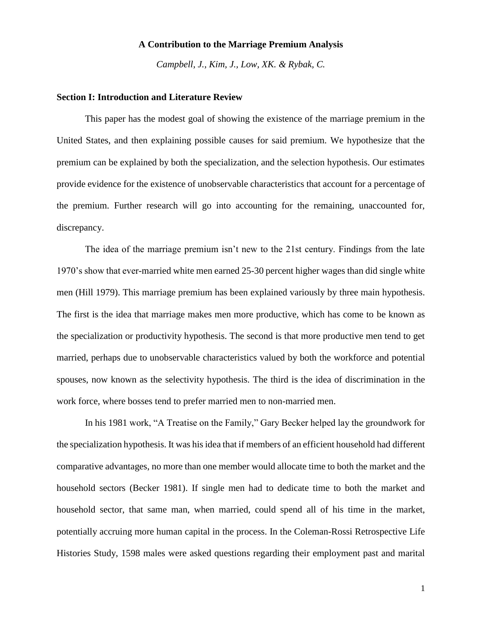# **A Contribution to the Marriage Premium Analysis**

*Campbell, J., Kim, J., Low, XK. & Rybak, C.* 

#### **Section I: Introduction and Literature Review**

This paper has the modest goal of showing the existence of the marriage premium in the United States, and then explaining possible causes for said premium. We hypothesize that the premium can be explained by both the specialization, and the selection hypothesis. Our estimates provide evidence for the existence of unobservable characteristics that account for a percentage of the premium. Further research will go into accounting for the remaining, unaccounted for, discrepancy.

The idea of the marriage premium isn't new to the 21st century. Findings from the late 1970's show that ever-married white men earned 25-30 percent higher wages than did single white men (Hill 1979). This marriage premium has been explained variously by three main hypothesis. The first is the idea that marriage makes men more productive, which has come to be known as the specialization or productivity hypothesis. The second is that more productive men tend to get married, perhaps due to unobservable characteristics valued by both the workforce and potential spouses, now known as the selectivity hypothesis. The third is the idea of discrimination in the work force, where bosses tend to prefer married men to non-married men.

In his 1981 work, "A Treatise on the Family," Gary Becker helped lay the groundwork for the specialization hypothesis. It was his idea that if members of an efficient household had different comparative advantages, no more than one member would allocate time to both the market and the household sectors (Becker 1981). If single men had to dedicate time to both the market and household sector, that same man, when married, could spend all of his time in the market, potentially accruing more human capital in the process. In the Coleman-Rossi Retrospective Life Histories Study, 1598 males were asked questions regarding their employment past and marital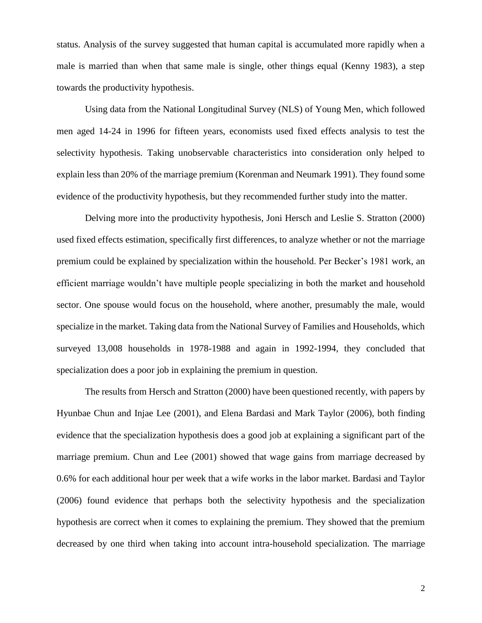status. Analysis of the survey suggested that human capital is accumulated more rapidly when a male is married than when that same male is single, other things equal (Kenny 1983), a step towards the productivity hypothesis.

Using data from the National Longitudinal Survey (NLS) of Young Men, which followed men aged 14-24 in 1996 for fifteen years, economists used fixed effects analysis to test the selectivity hypothesis. Taking unobservable characteristics into consideration only helped to explain less than 20% of the marriage premium (Korenman and Neumark 1991). They found some evidence of the productivity hypothesis, but they recommended further study into the matter.

Delving more into the productivity hypothesis, Joni Hersch and Leslie S. Stratton (2000) used fixed effects estimation, specifically first differences, to analyze whether or not the marriage premium could be explained by specialization within the household. Per Becker's 1981 work, an efficient marriage wouldn't have multiple people specializing in both the market and household sector. One spouse would focus on the household, where another, presumably the male, would specialize in the market. Taking data from the National Survey of Families and Households, which surveyed 13,008 households in 1978-1988 and again in 1992-1994, they concluded that specialization does a poor job in explaining the premium in question.

The results from Hersch and Stratton (2000) have been questioned recently, with papers by Hyunbae Chun and Injae Lee (2001), and Elena Bardasi and Mark Taylor (2006), both finding evidence that the specialization hypothesis does a good job at explaining a significant part of the marriage premium. Chun and Lee (2001) showed that wage gains from marriage decreased by 0.6% for each additional hour per week that a wife works in the labor market. Bardasi and Taylor (2006) found evidence that perhaps both the selectivity hypothesis and the specialization hypothesis are correct when it comes to explaining the premium. They showed that the premium decreased by one third when taking into account intra-household specialization. The marriage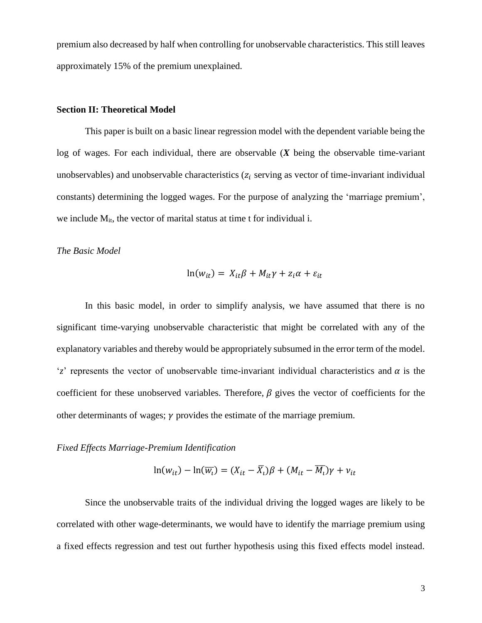premium also decreased by half when controlling for unobservable characteristics. This still leaves approximately 15% of the premium unexplained.

# **Section II: Theoretical Model**

This paper is built on a basic linear regression model with the dependent variable being the log of wages. For each individual, there are observable (*X* being the observable time-variant unobservables) and unobservable characteristics ( $z_i$  serving as vector of time-invariant individual constants) determining the logged wages. For the purpose of analyzing the 'marriage premium', we include  $M_{it}$ , the vector of marital status at time t for individual i.

## *The Basic Model*

$$
\ln(w_{it}) = X_{it}\beta + M_{it}\gamma + z_i\alpha + \varepsilon_{it}
$$

In this basic model, in order to simplify analysis, we have assumed that there is no significant time-varying unobservable characteristic that might be correlated with any of the explanatory variables and thereby would be appropriately subsumed in the error term of the model. 'z' represents the vector of unobservable time-invariant individual characteristics and  $\alpha$  is the coefficient for these unobserved variables. Therefore,  $\beta$  gives the vector of coefficients for the other determinants of wages;  $\gamma$  provides the estimate of the marriage premium.

#### *Fixed Effects Marriage-Premium Identification*

$$
\ln(w_{it}) - \ln(\overline{w_i}) = (X_{it} - \overline{X_i})\beta + (M_{it} - \overline{M_i})\gamma + \nu_{it}
$$

Since the unobservable traits of the individual driving the logged wages are likely to be correlated with other wage-determinants, we would have to identify the marriage premium using a fixed effects regression and test out further hypothesis using this fixed effects model instead.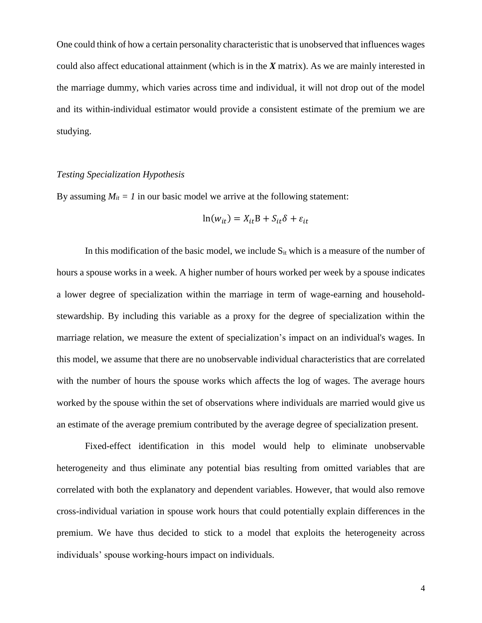One could think of how a certain personality characteristic that is unobserved that influences wages could also affect educational attainment (which is in the *X* matrix). As we are mainly interested in the marriage dummy, which varies across time and individual, it will not drop out of the model and its within-individual estimator would provide a consistent estimate of the premium we are studying.

# *Testing Specialization Hypothesis*

By assuming  $M_{it} = 1$  in our basic model we arrive at the following statement:

$$
\ln(w_{it}) = X_{it}B + S_{it}\delta + \varepsilon_{it}
$$

In this modification of the basic model, we include  $S_{it}$  which is a measure of the number of hours a spouse works in a week. A higher number of hours worked per week by a spouse indicates a lower degree of specialization within the marriage in term of wage-earning and householdstewardship. By including this variable as a proxy for the degree of specialization within the marriage relation, we measure the extent of specialization's impact on an individual's wages. In this model, we assume that there are no unobservable individual characteristics that are correlated with the number of hours the spouse works which affects the log of wages. The average hours worked by the spouse within the set of observations where individuals are married would give us an estimate of the average premium contributed by the average degree of specialization present.

Fixed-effect identification in this model would help to eliminate unobservable heterogeneity and thus eliminate any potential bias resulting from omitted variables that are correlated with both the explanatory and dependent variables. However, that would also remove cross-individual variation in spouse work hours that could potentially explain differences in the premium. We have thus decided to stick to a model that exploits the heterogeneity across individuals' spouse working-hours impact on individuals.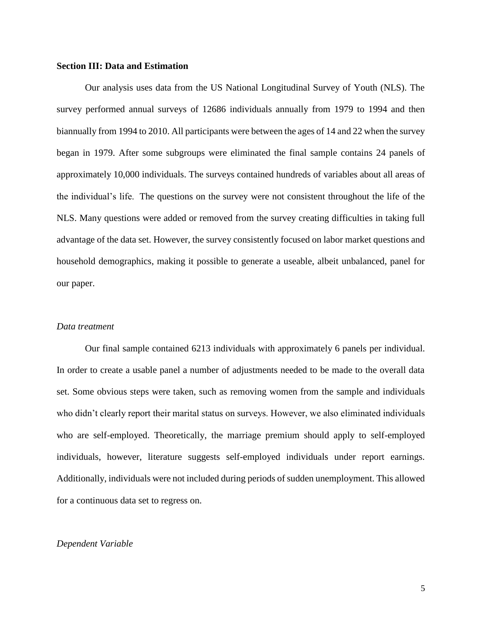## **Section III: Data and Estimation**

Our analysis uses data from the US National Longitudinal Survey of Youth (NLS). The survey performed annual surveys of 12686 individuals annually from 1979 to 1994 and then biannually from 1994 to 2010. All participants were between the ages of 14 and 22 when the survey began in 1979. After some subgroups were eliminated the final sample contains 24 panels of approximately 10,000 individuals. The surveys contained hundreds of variables about all areas of the individual's life. The questions on the survey were not consistent throughout the life of the NLS. Many questions were added or removed from the survey creating difficulties in taking full advantage of the data set. However, the survey consistently focused on labor market questions and household demographics, making it possible to generate a useable, albeit unbalanced, panel for our paper.

# *Data treatment*

Our final sample contained 6213 individuals with approximately 6 panels per individual. In order to create a usable panel a number of adjustments needed to be made to the overall data set. Some obvious steps were taken, such as removing women from the sample and individuals who didn't clearly report their marital status on surveys. However, we also eliminated individuals who are self-employed. Theoretically, the marriage premium should apply to self-employed individuals, however, literature suggests self-employed individuals under report earnings. Additionally, individuals were not included during periods of sudden unemployment. This allowed for a continuous data set to regress on.

#### *Dependent Variable*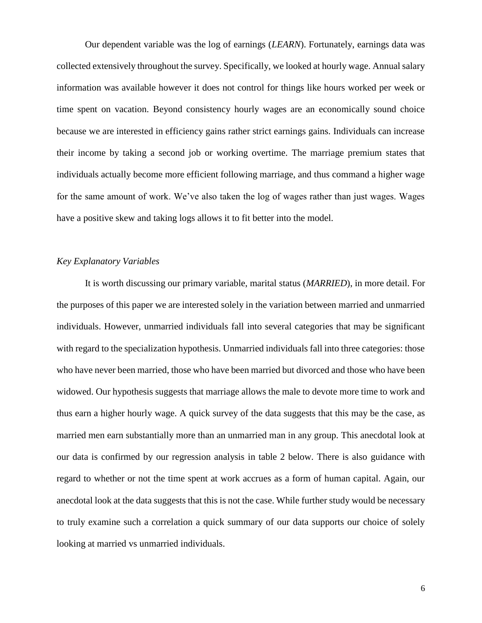Our dependent variable was the log of earnings (*LEARN*). Fortunately, earnings data was collected extensively throughout the survey. Specifically, we looked at hourly wage. Annual salary information was available however it does not control for things like hours worked per week or time spent on vacation. Beyond consistency hourly wages are an economically sound choice because we are interested in efficiency gains rather strict earnings gains. Individuals can increase their income by taking a second job or working overtime. The marriage premium states that individuals actually become more efficient following marriage, and thus command a higher wage for the same amount of work. We've also taken the log of wages rather than just wages. Wages have a positive skew and taking logs allows it to fit better into the model.

# *Key Explanatory Variables*

It is worth discussing our primary variable, marital status (*MARRIED*), in more detail. For the purposes of this paper we are interested solely in the variation between married and unmarried individuals. However, unmarried individuals fall into several categories that may be significant with regard to the specialization hypothesis. Unmarried individuals fall into three categories: those who have never been married, those who have been married but divorced and those who have been widowed. Our hypothesis suggests that marriage allows the male to devote more time to work and thus earn a higher hourly wage. A quick survey of the data suggests that this may be the case, as married men earn substantially more than an unmarried man in any group. This anecdotal look at our data is confirmed by our regression analysis in table 2 below. There is also guidance with regard to whether or not the time spent at work accrues as a form of human capital. Again, our anecdotal look at the data suggests that this is not the case. While further study would be necessary to truly examine such a correlation a quick summary of our data supports our choice of solely looking at married vs unmarried individuals.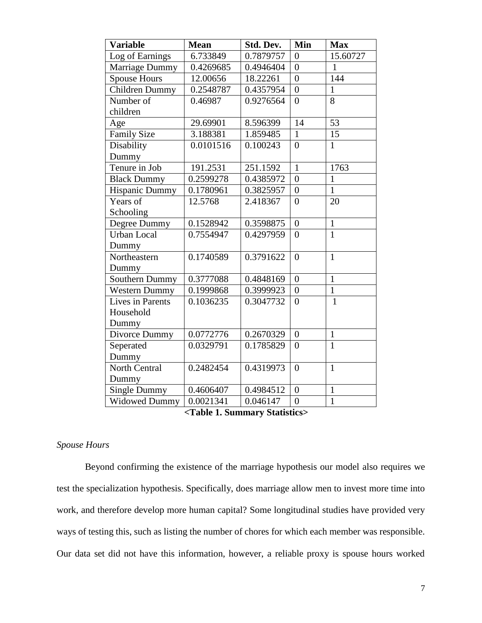| <b>Variable</b>       | <b>Mean</b> | Std. Dev. | Min            | <b>Max</b>      |
|-----------------------|-------------|-----------|----------------|-----------------|
| Log of Earnings       | 6.733849    | 0.7879757 | $\overline{0}$ | 15.60727        |
| Marriage Dummy        | 0.4269685   | 0.4946404 | $\theta$       | 1               |
| <b>Spouse Hours</b>   | 12.00656    | 18.22261  | $\overline{0}$ | 144             |
| Children Dummy        | 0.2548787   | 0.4357954 | $\overline{0}$ | $\mathbf{1}$    |
| Number of             | 0.46987     | 0.9276564 | $\theta$       | 8               |
| children              |             |           |                |                 |
| Age                   | 29.69901    | 8.596399  | 14             | 53              |
| <b>Family Size</b>    | 3.188381    | 1.859485  | $\mathbf{1}$   | $\overline{15}$ |
| Disability            | 0.0101516   | 0.100243  | $\theta$       | $\mathbf{1}$    |
| Dummy                 |             |           |                |                 |
| Tenure in Job         | 191.2531    | 251.1592  | $\mathbf{1}$   | 1763            |
| <b>Black Dummy</b>    | 0.2599278   | 0.4385972 | $\overline{0}$ | $\mathbf{1}$    |
| <b>Hispanic Dummy</b> | 0.1780961   | 0.3825957 | $\overline{0}$ | $\mathbf{1}$    |
| Years of              | 12.5768     | 2.418367  | $\overline{0}$ | 20              |
| Schooling             |             |           |                |                 |
| Degree Dummy          | 0.1528942   | 0.3598875 | $\overline{0}$ | $\mathbf{1}$    |
| <b>Urban Local</b>    | 0.7554947   | 0.4297959 | $\theta$       | $\mathbf{1}$    |
| Dummy                 |             |           |                |                 |
| Northeastern          | 0.1740589   | 0.3791622 | $\overline{0}$ | $\mathbf{1}$    |
| Dummy                 |             |           |                |                 |
| Southern Dummy        | 0.3777088   | 0.4848169 | $\overline{0}$ | $\mathbf{1}$    |
| <b>Western Dummy</b>  | 0.1999868   | 0.3999923 | $\overline{0}$ | $\overline{1}$  |
| Lives in Parents      | 0.1036235   | 0.3047732 | $\theta$       | $\mathbf{1}$    |
| Household             |             |           |                |                 |
| Dummy                 |             |           |                |                 |
| Divorce Dummy         | 0.0772776   | 0.2670329 | $\overline{0}$ | $\mathbf{1}$    |
| Seperated             | 0.0329791   | 0.1785829 | $\overline{0}$ | $\overline{1}$  |
| Dummy                 |             |           |                |                 |
| North Central         | 0.2482454   | 0.4319973 | $\overline{0}$ | $\mathbf{1}$    |
| Dummy                 |             |           |                |                 |
| Single Dummy          | 0.4606407   | 0.4984512 | $\overline{0}$ | $\mathbf{1}$    |
| <b>Widowed Dummy</b>  | 0.0021341   | 0.046147  | $\overline{0}$ | $\mathbf{1}$    |

 **<Table 1. Summary Statistics>**

# *Spouse Hours*

Beyond confirming the existence of the marriage hypothesis our model also requires we test the specialization hypothesis. Specifically, does marriage allow men to invest more time into work, and therefore develop more human capital? Some longitudinal studies have provided very ways of testing this, such as listing the number of chores for which each member was responsible. Our data set did not have this information, however, a reliable proxy is spouse hours worked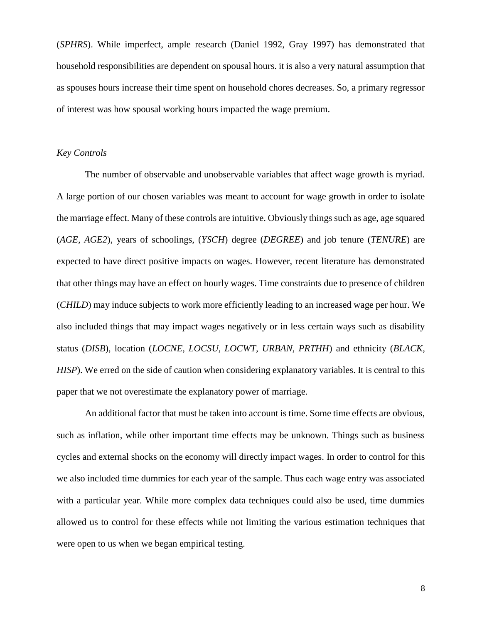(*SPHRS*). While imperfect, ample research (Daniel 1992, Gray 1997) has demonstrated that household responsibilities are dependent on spousal hours. it is also a very natural assumption that as spouses hours increase their time spent on household chores decreases. So, a primary regressor of interest was how spousal working hours impacted the wage premium.

# *Key Controls*

The number of observable and unobservable variables that affect wage growth is myriad. A large portion of our chosen variables was meant to account for wage growth in order to isolate the marriage effect. Many of these controls are intuitive. Obviously things such as age, age squared (*AGE, AGE2*), years of schoolings, (*YSCH*) degree (*DEGREE*) and job tenure (*TENURE*) are expected to have direct positive impacts on wages. However, recent literature has demonstrated that other things may have an effect on hourly wages. Time constraints due to presence of children (*CHILD*) may induce subjects to work more efficiently leading to an increased wage per hour. We also included things that may impact wages negatively or in less certain ways such as disability status (*DISB*), location (*LOCNE, LOCSU, LOCWT, URBAN, PRTHH*) and ethnicity (*BLACK, HISP*). We erred on the side of caution when considering explanatory variables. It is central to this paper that we not overestimate the explanatory power of marriage.

An additional factor that must be taken into account is time. Some time effects are obvious, such as inflation, while other important time effects may be unknown. Things such as business cycles and external shocks on the economy will directly impact wages. In order to control for this we also included time dummies for each year of the sample. Thus each wage entry was associated with a particular year. While more complex data techniques could also be used, time dummies allowed us to control for these effects while not limiting the various estimation techniques that were open to us when we began empirical testing.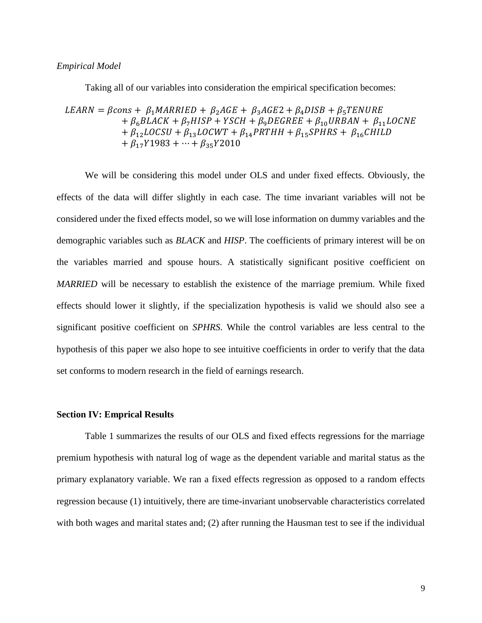## *Empirical Model*

Taking all of our variables into consideration the empirical specification becomes:

$$
LEARN = \beta cons + \beta_1 MARKIED + \beta_2AGE + \beta_3AGE2 + \beta_4DISB + \beta_5 TENURE
$$
  
+  $\beta_6 BLACK + \beta_7 HISP + YSCH + \beta_9 DEGREE + \beta_{10} URBAN + \beta_{11} LOCNE$   
+  $\beta_{12} LOGSU + \beta_{13} LOGWT + \beta_{14} PRTHH + \beta_{15} SPHRS + \beta_{16} CHILD$   
+  $\beta_{17}Y1983 + \dots + \beta_{35}Y2010$ 

We will be considering this model under OLS and under fixed effects. Obviously, the effects of the data will differ slightly in each case. The time invariant variables will not be considered under the fixed effects model, so we will lose information on dummy variables and the demographic variables such as *BLACK* and *HISP*. The coefficients of primary interest will be on the variables married and spouse hours. A statistically significant positive coefficient on *MARRIED* will be necessary to establish the existence of the marriage premium. While fixed effects should lower it slightly, if the specialization hypothesis is valid we should also see a significant positive coefficient on *SPHRS*. While the control variables are less central to the hypothesis of this paper we also hope to see intuitive coefficients in order to verify that the data set conforms to modern research in the field of earnings research.

### **Section IV: Emprical Results**

Table 1 summarizes the results of our OLS and fixed effects regressions for the marriage premium hypothesis with natural log of wage as the dependent variable and marital status as the primary explanatory variable. We ran a fixed effects regression as opposed to a random effects regression because (1) intuitively, there are time-invariant unobservable characteristics correlated with both wages and marital states and; (2) after running the Hausman test to see if the individual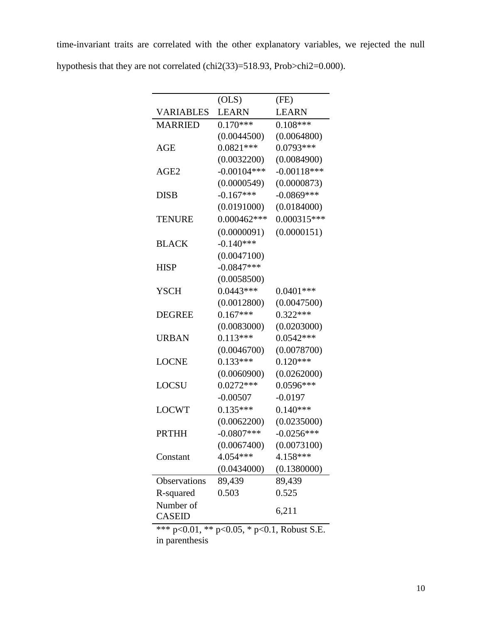time-invariant traits are correlated with the other explanatory variables, we rejected the null hypothesis that they are not correlated (chi2(33)=518.93, Prob>chi2=0.000).

|                            | (OLS)         | (FE)          |
|----------------------------|---------------|---------------|
| <b>VARIABLES</b>           | <b>LEARN</b>  | <b>LEARN</b>  |
| <b>MARRIED</b>             | $0.170***$    | $0.108***$    |
|                            | (0.0044500)   | (0.0064800)   |
| AGE                        | $0.0821***$   | 0.0793***     |
|                            | (0.0032200)   | (0.0084900)   |
| AGE <sub>2</sub>           | $-0.00104***$ | $-0.00118***$ |
|                            | (0.0000549)   | (0.0000873)   |
| <b>DISB</b>                | $-0.167***$   | $-0.0869***$  |
|                            | (0.0191000)   | (0.0184000)   |
| <b>TENURE</b>              | $0.000462***$ | $0.000315***$ |
|                            | (0.0000091)   | (0.0000151)   |
| <b>BLACK</b>               | $-0.140***$   |               |
|                            | (0.0047100)   |               |
| <b>HISP</b>                | $-0.0847***$  |               |
|                            | (0.0058500)   |               |
| <b>YSCH</b>                | $0.0443***$   | $0.0401***$   |
|                            | (0.0012800)   | (0.0047500)   |
| <b>DEGREE</b>              | $0.167***$    | $0.322***$    |
|                            | (0.0083000)   | (0.0203000)   |
| <b>URBAN</b>               | $0.113***$    | $0.0542***$   |
|                            | (0.0046700)   | (0.0078700)   |
| <b>LOCNE</b>               | $0.133***$    | $0.120***$    |
|                            | (0.0060900)   | (0.0262000)   |
| <b>LOCSU</b>               | $0.0272***$   | 0.0596***     |
|                            | $-0.00507$    | $-0.0197$     |
| <b>LOCWT</b>               | $0.135***$    | $0.140***$    |
|                            | (0.0062200)   | (0.0235000)   |
| PRTHH                      | $-0.0807$ *** | $-0.0256***$  |
|                            | (0.0067400)   | (0.0073100)   |
| Constant                   | 4.054***      | 4.158***      |
|                            | (0.0434000)   | (0.1380000)   |
| Observations               | 89,439        | 89,439        |
| R-squared                  | 0.503         | 0.525         |
| Number of<br><b>CASEID</b> |               | 6,211         |

\*\*\* p<0.01, \*\* p<0.05, \* p<0.1, Robust S.E. in parenthesis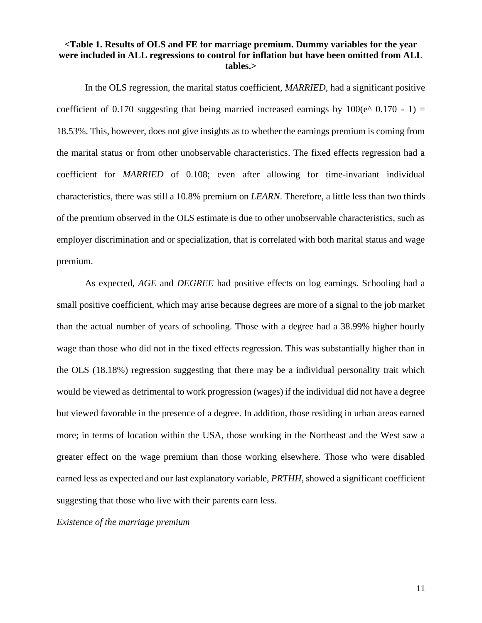# **<Table 1. Results of OLS and FE for marriage premium. Dummy variables for the year were included in ALL regressions to control for inflation but have been omitted from ALL tables.>**

In the OLS regression, the marital status coefficient, *MARRIED*, had a significant positive coefficient of 0.170 suggesting that being married increased earnings by  $100(e^{\wedge} 0.170 - 1) =$ 18.53%. This, however, does not give insights as to whether the earnings premium is coming from the marital status or from other unobservable characteristics. The fixed effects regression had a coefficient for *MARRIED* of 0.108; even after allowing for time-invariant individual characteristics, there was still a 10.8% premium on *LEARN*. Therefore, a little less than two thirds of the premium observed in the OLS estimate is due to other unobservable characteristics, such as employer discrimination and or specialization, that is correlated with both marital status and wage premium.

As expected, *AGE* and *DEGREE* had positive effects on log earnings. Schooling had a small positive coefficient, which may arise because degrees are more of a signal to the job market than the actual number of years of schooling. Those with a degree had a 38.99% higher hourly wage than those who did not in the fixed effects regression. This was substantially higher than in the OLS (18.18%) regression suggesting that there may be a individual personality trait which would be viewed as detrimental to work progression (wages) if the individual did not have a degree but viewed favorable in the presence of a degree. In addition, those residing in urban areas earned more; in terms of location within the USA, those working in the Northeast and the West saw a greater effect on the wage premium than those working elsewhere. Those who were disabled earned less as expected and our last explanatory variable, *PRTHH*, showed a significant coefficient suggesting that those who live with their parents earn less.

*Existence of the marriage premium*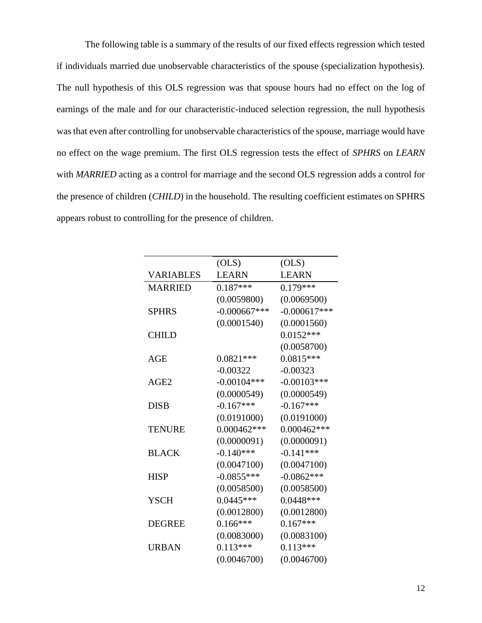The following table is a summary of the results of our fixed effects regression which tested if individuals married due unobservable characteristics of the spouse (specialization hypothesis). The null hypothesis of this OLS regression was that spouse hours had no effect on the log of earnings of the male and for our characteristic-induced selection regression, the null hypothesis was that even after controlling for unobservable characteristics of the spouse, marriage would have no effect on the wage premium. The first OLS regression tests the effect of *SPHRS* on *LEARN* with *MARRIED* acting as a control for marriage and the second OLS regression adds a control for the presence of children (*CHILD*) in the household. The resulting coefficient estimates on SPHRS appears robust to controlling for the presence of children.

|                  | (OLS)          | (OLS)          |  |
|------------------|----------------|----------------|--|
| <b>VARIABLES</b> | <b>LEARN</b>   | <b>LEARN</b>   |  |
| <b>MARRIED</b>   | $0.187***$     | $0.179***$     |  |
|                  | (0.0059800)    | (0.0069500)    |  |
| <b>SPHRS</b>     | $-0.000667***$ | $-0.000617***$ |  |
|                  | (0.0001540)    | (0.0001560)    |  |
| <b>CHILD</b>     |                | $0.0152***$    |  |
|                  |                | (0.0058700)    |  |
| AGE              | $0.0821***$    | $0.0815***$    |  |
|                  | $-0.00322$     | $-0.00323$     |  |
| AGE <sub>2</sub> | $-0.00104***$  | $-0.00103***$  |  |
|                  | (0.0000549)    | (0.0000549)    |  |
| <b>DISB</b>      | $-0.167***$    | $-0.167***$    |  |
|                  | (0.0191000)    | (0.0191000)    |  |
| <b>TENURE</b>    | $0.000462***$  | $0.000462***$  |  |
|                  | (0.0000091)    | (0.0000091)    |  |
| <b>BLACK</b>     | $-0.140***$    | $-0.141***$    |  |
|                  | (0.0047100)    | (0.0047100)    |  |
| <b>HISP</b>      | $-0.0855***$   | $-0.0862***$   |  |
|                  | (0.0058500)    | (0.0058500)    |  |
| <b>YSCH</b>      | $0.0445***$    | $0.0448***$    |  |
|                  | (0.0012800)    | (0.0012800)    |  |
| <b>DEGREE</b>    | $0.166***$     | $0.167***$     |  |
|                  | (0.0083000)    | (0.0083100)    |  |
| <b>URBAN</b>     | $0.113***$     | $0.113***$     |  |
|                  | (0.0046700)    | (0.0046700)    |  |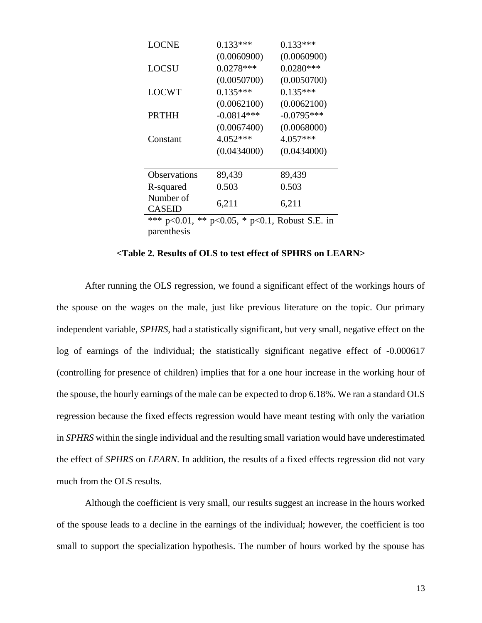| <b>LOCNE</b>                                                             | $0.133***$   | $0.133***$   |  |  |
|--------------------------------------------------------------------------|--------------|--------------|--|--|
|                                                                          | (0.0060900)  | (0.0060900)  |  |  |
| <b>LOCSU</b>                                                             | $0.0278***$  | $0.0280***$  |  |  |
|                                                                          | (0.0050700)  | (0.0050700)  |  |  |
| <b>LOCWT</b>                                                             | $0.135***$   | $0.135***$   |  |  |
|                                                                          | (0.0062100)  | (0.0062100)  |  |  |
| <b>PRTHH</b>                                                             | $-0.0814***$ | $-0.0795***$ |  |  |
|                                                                          | (0.0067400)  | (0.0068000)  |  |  |
| Constant                                                                 | 4.052***     | $4.057***$   |  |  |
|                                                                          | (0.0434000)  | (0.0434000)  |  |  |
|                                                                          |              |              |  |  |
| Observations                                                             | 89,439       | 89,439       |  |  |
| R-squared                                                                | 0.503        | 0.503        |  |  |
| Number of                                                                | 6,211        | 6,211        |  |  |
| <b>CASEID</b>                                                            |              |              |  |  |
| *** $p<0.01$ ,<br>$***$<br>$*$<br>$p<0.1$ , Robust S.E. in<br>$p<0.05$ , |              |              |  |  |

parenthesis

#### **<Table 2. Results of OLS to test effect of SPHRS on LEARN>**

After running the OLS regression, we found a significant effect of the workings hours of the spouse on the wages on the male, just like previous literature on the topic. Our primary independent variable, *SPHRS*, had a statistically significant, but very small, negative effect on the log of earnings of the individual; the statistically significant negative effect of -0.000617 (controlling for presence of children) implies that for a one hour increase in the working hour of the spouse, the hourly earnings of the male can be expected to drop 6.18%. We ran a standard OLS regression because the fixed effects regression would have meant testing with only the variation in *SPHRS* within the single individual and the resulting small variation would have underestimated the effect of *SPHRS* on *LEARN*. In addition, the results of a fixed effects regression did not vary much from the OLS results.

Although the coefficient is very small, our results suggest an increase in the hours worked of the spouse leads to a decline in the earnings of the individual; however, the coefficient is too small to support the specialization hypothesis. The number of hours worked by the spouse has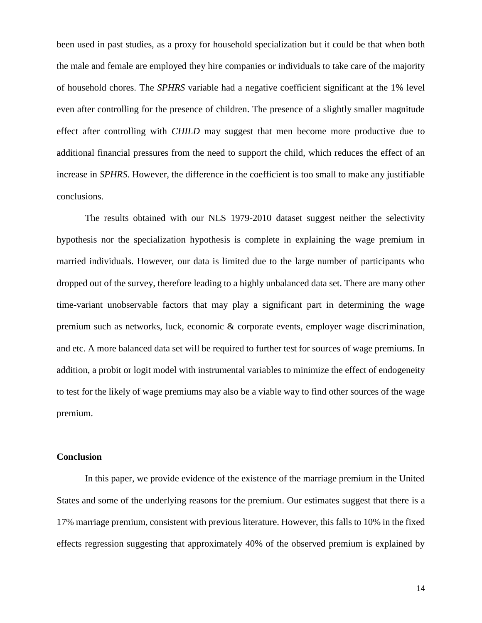been used in past studies, as a proxy for household specialization but it could be that when both the male and female are employed they hire companies or individuals to take care of the majority of household chores. The *SPHRS* variable had a negative coefficient significant at the 1% level even after controlling for the presence of children. The presence of a slightly smaller magnitude effect after controlling with *CHILD* may suggest that men become more productive due to additional financial pressures from the need to support the child, which reduces the effect of an increase in *SPHRS*. However, the difference in the coefficient is too small to make any justifiable conclusions.

The results obtained with our NLS 1979-2010 dataset suggest neither the selectivity hypothesis nor the specialization hypothesis is complete in explaining the wage premium in married individuals. However, our data is limited due to the large number of participants who dropped out of the survey, therefore leading to a highly unbalanced data set. There are many other time-variant unobservable factors that may play a significant part in determining the wage premium such as networks, luck, economic & corporate events, employer wage discrimination, and etc. A more balanced data set will be required to further test for sources of wage premiums. In addition, a probit or logit model with instrumental variables to minimize the effect of endogeneity to test for the likely of wage premiums may also be a viable way to find other sources of the wage premium.

## **Conclusion**

In this paper, we provide evidence of the existence of the marriage premium in the United States and some of the underlying reasons for the premium. Our estimates suggest that there is a 17% marriage premium, consistent with previous literature. However, this falls to 10% in the fixed effects regression suggesting that approximately 40% of the observed premium is explained by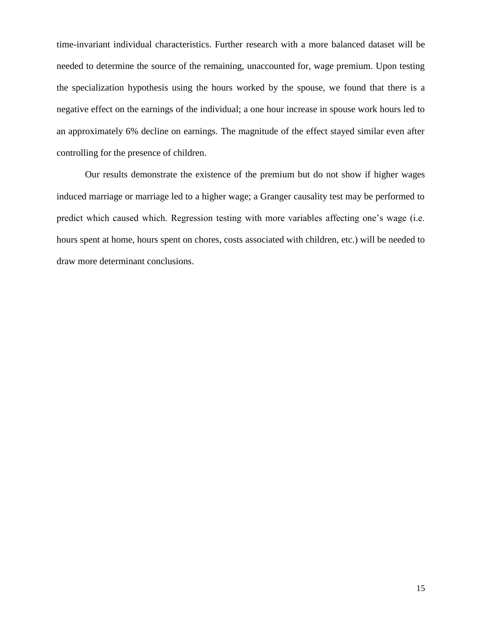time-invariant individual characteristics. Further research with a more balanced dataset will be needed to determine the source of the remaining, unaccounted for, wage premium. Upon testing the specialization hypothesis using the hours worked by the spouse, we found that there is a negative effect on the earnings of the individual; a one hour increase in spouse work hours led to an approximately 6% decline on earnings. The magnitude of the effect stayed similar even after controlling for the presence of children.

Our results demonstrate the existence of the premium but do not show if higher wages induced marriage or marriage led to a higher wage; a Granger causality test may be performed to predict which caused which. Regression testing with more variables affecting one's wage (i.e. hours spent at home, hours spent on chores, costs associated with children, etc.) will be needed to draw more determinant conclusions.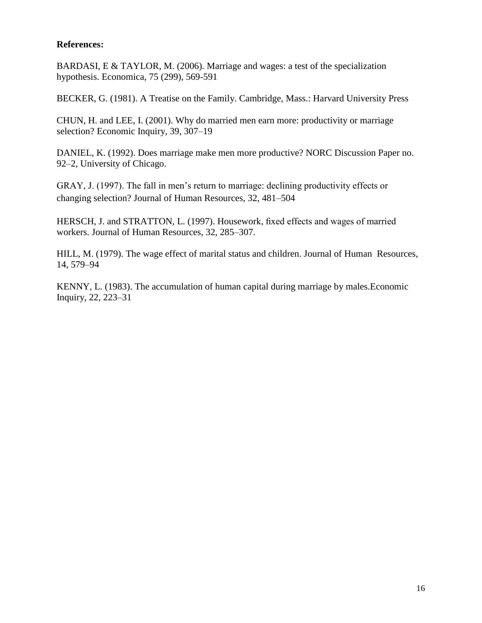# **References:**

BARDASI, E & TAYLOR, M. (2006). Marriage and wages: a test of the specialization hypothesis. Economica, 75 (299), 569-591

BECKER, G. (1981). A Treatise on the Family. Cambridge, Mass.: Harvard University Press

CHUN, H. and LEE, I. (2001). Why do married men earn more: productivity or marriage selection? Economic Inquiry, 39, 307–19

DANIEL, K. (1992). Does marriage make men more productive? NORC Discussion Paper no. 92–2, University of Chicago.

GRAY, J. (1997). The fall in men's return to marriage: declining productivity effects or changing selection? Journal of Human Resources, 32, 481–504

HERSCH, J. and STRATTON, L. (1997). Housework, fixed effects and wages of married workers. Journal of Human Resources, 32, 285–307.

HILL, M. (1979). The wage effect of marital status and children. Journal of Human Resources, 14, 579–94

KENNY, L. (1983). The accumulation of human capital during marriage by males.Economic Inquiry, 22, 223–31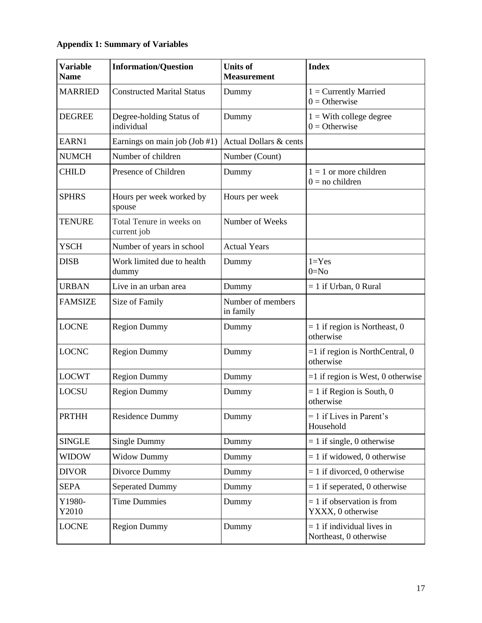# **Appendix 1: Summary of Variables**

| <b>Variable</b><br><b>Name</b> | <b>Information/Question</b>             | <b>Units of</b><br><b>Measurement</b> | <b>Index</b>                                           |  |
|--------------------------------|-----------------------------------------|---------------------------------------|--------------------------------------------------------|--|
| <b>MARRIED</b>                 | <b>Constructed Marital Status</b>       | Dummy                                 | $1 =$ Currently Married<br>$0 =$ Otherwise             |  |
| <b>DEGREE</b>                  | Degree-holding Status of<br>individual  | Dummy                                 | $1 =$ With college degree<br>$0 =$ Otherwise           |  |
| EARN1                          | Earnings on main job (Job #1)           | Actual Dollars & cents                |                                                        |  |
| <b>NUMCH</b>                   | Number of children                      | Number (Count)                        |                                                        |  |
| <b>CHILD</b>                   | Presence of Children                    | Dummy                                 | $1 = 1$ or more children<br>$0 =$ no children          |  |
| <b>SPHRS</b>                   | Hours per week worked by<br>spouse      | Hours per week                        |                                                        |  |
| <b>TENURE</b>                  | Total Tenure in weeks on<br>current job | Number of Weeks                       |                                                        |  |
| <b>YSCH</b>                    | Number of years in school               | <b>Actual Years</b>                   |                                                        |  |
| <b>DISB</b>                    | Work limited due to health<br>dummy     | Dummy                                 | $1 = Yes$<br>$0=N0$                                    |  |
| <b>URBAN</b>                   | Live in an urban area                   | Dummy                                 | $= 1$ if Urban, 0 Rural                                |  |
| <b>FAMSIZE</b>                 | Size of Family                          | Number of members<br>in family        |                                                        |  |
| <b>LOCNE</b>                   | <b>Region Dummy</b>                     | Dummy                                 | $= 1$ if region is Northeast, 0<br>otherwise           |  |
| <b>LOCNC</b>                   | <b>Region Dummy</b>                     | Dummy                                 | $=1$ if region is NorthCentral, 0<br>otherwise         |  |
| <b>LOCWT</b>                   | <b>Region Dummy</b>                     | Dummy                                 | $=1$ if region is West, 0 otherwise                    |  |
| <b>LOCSU</b>                   | <b>Region Dummy</b>                     | Dummy                                 | $= 1$ if Region is South, 0<br>otherwise               |  |
| <b>PRTHH</b>                   | <b>Residence Dummy</b>                  | Dummy                                 | $= 1$ if Lives in Parent's<br>Household                |  |
| <b>SINGLE</b>                  | Single Dummy                            | Dummy                                 | $= 1$ if single, 0 otherwise                           |  |
| <b>WIDOW</b>                   | <b>Widow Dummy</b>                      | Dummy                                 | $= 1$ if widowed, 0 otherwise                          |  |
| <b>DIVOR</b>                   | Divorce Dummy                           | Dummy                                 | $= 1$ if divorced, 0 otherwise                         |  |
| <b>SEPA</b>                    | <b>Seperated Dummy</b>                  | Dummy                                 | $= 1$ if seperated, 0 otherwise                        |  |
| Y1980-<br>Y2010                | <b>Time Dummies</b>                     | Dummy                                 | $= 1$ if observation is from<br>YXXX, 0 otherwise      |  |
| <b>LOCNE</b>                   | <b>Region Dummy</b>                     | Dummy                                 | $= 1$ if individual lives in<br>Northeast, 0 otherwise |  |